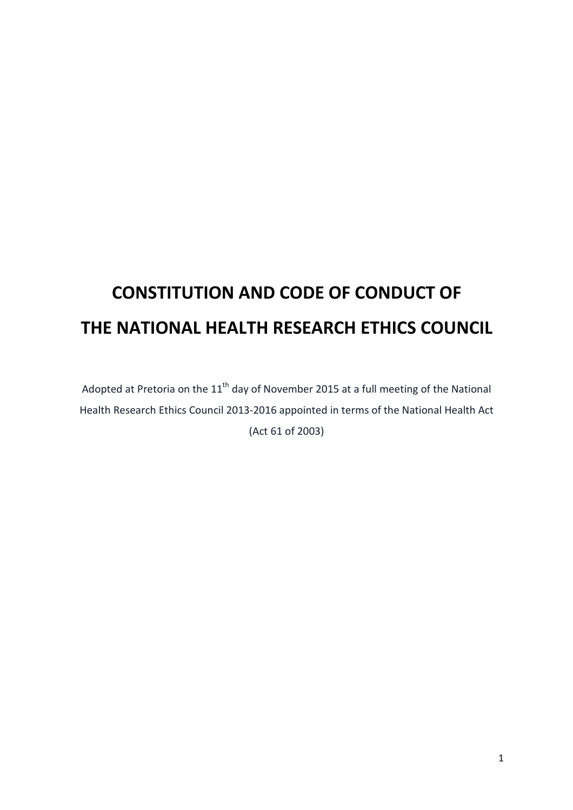# **CONSTITUTION AND CODE OF CONDUCT OF THE NATIONAL HEALTH RESEARCH ETHICS COUNCIL**

Adopted at Pretoria on the  $11<sup>th</sup>$  day of November 2015 at a full meeting of the National Health Research Ethics Council 2013-2016 appointed in terms of the National Health Act (Act 61 of 2003)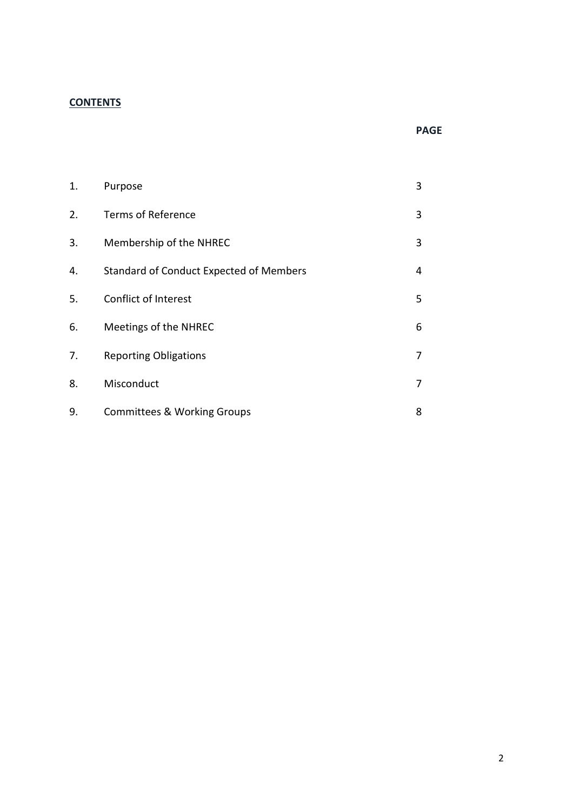## **CONTENTS**

#### **PAGE**

| 1. | Purpose                                        | 3 |
|----|------------------------------------------------|---|
| 2. | <b>Terms of Reference</b>                      | 3 |
| 3. | Membership of the NHREC                        | 3 |
| 4. | <b>Standard of Conduct Expected of Members</b> | 4 |
| 5. | Conflict of Interest                           | 5 |
| 6. | Meetings of the NHREC                          | 6 |
| 7. | <b>Reporting Obligations</b>                   | 7 |
| 8. | Misconduct                                     | 7 |
| 9. | <b>Committees &amp; Working Groups</b>         | 8 |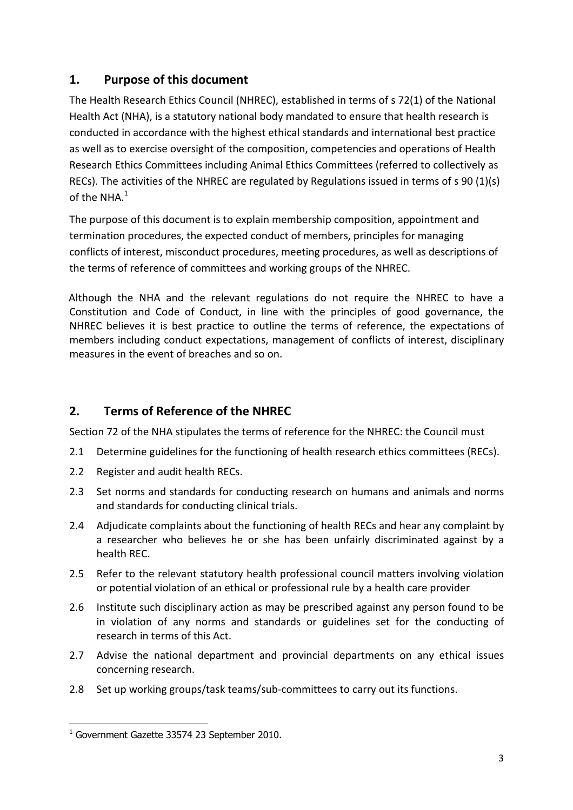## **1. Purpose of this document**

The Health Research Ethics Council (NHREC), established in terms of s 72(1) of the National Health Act (NHA), is a statutory national body mandated to ensure that health research is conducted in accordance with the highest ethical standards and international best practice as well as to exercise oversight of the composition, competencies and operations of Health Research Ethics Committees including Animal Ethics Committees (referred to collectively as RECs). The activities of the NHREC are regulated by Regulations issued in terms of s 90 (1)(s) of the NHA. $^{\rm 1}$ 

The purpose of this document is to explain membership composition, appointment and termination procedures, the expected conduct of members, principles for managing conflicts of interest, misconduct procedures, meeting procedures, as well as descriptions of the terms of reference of committees and working groups of the NHREC.

Although the NHA and the relevant regulations do not require the NHREC to have a Constitution and Code of Conduct, in line with the principles of good governance, the NHREC believes it is best practice to outline the terms of reference, the expectations of members including conduct expectations, management of conflicts of interest, disciplinary measures in the event of breaches and so on.

# **2. Terms of Reference of the NHREC**

Section 72 of the NHA stipulates the terms of reference for the NHREC: the Council must

- 2.1 Determine guidelines for the functioning of health research ethics committees (RECs).
- 2.2 Register and audit health RECs.
- 2.3 Set norms and standards for conducting research on humans and animals and norms and standards for conducting clinical trials.
- 2.4 Adjudicate complaints about the functioning of health RECs and hear any complaint by a researcher who believes he or she has been unfairly discriminated against by a health REC.
- 2.5 Refer to the relevant statutory health professional council matters involving violation or potential violation of an ethical or professional rule by a health care provider
- 2.6 Institute such disciplinary action as may be prescribed against any person found to be in violation of any norms and standards or guidelines set for the conducting of research in terms of this Act.
- 2.7 Advise the national department and provincial departments on any ethical issues concerning research.
- 2.8 Set up working groups/task teams/sub-committees to carry out its functions.

 $\overline{\phantom{0}}$ 

<sup>1</sup> Government Gazette 33574 23 September 2010.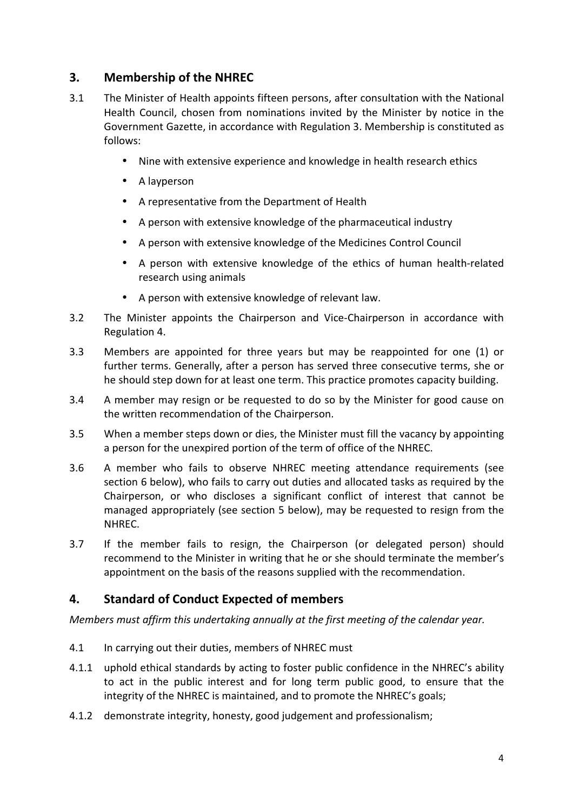## **3. Membership of the NHREC**

- 3.1 The Minister of Health appoints fifteen persons, after consultation with the National Health Council, chosen from nominations invited by the Minister by notice in the Government Gazette, in accordance with Regulation 3. Membership is constituted as follows:
	- Nine with extensive experience and knowledge in health research ethics
	- A layperson
	- A representative from the Department of Health
	- A person with extensive knowledge of the pharmaceutical industry
	- A person with extensive knowledge of the Medicines Control Council
	- A person with extensive knowledge of the ethics of human health-related research using animals
	- A person with extensive knowledge of relevant law.
- 3.2 The Minister appoints the Chairperson and Vice-Chairperson in accordance with Regulation 4.
- 3.3 Members are appointed for three years but may be reappointed for one (1) or further terms. Generally, after a person has served three consecutive terms, she or he should step down for at least one term. This practice promotes capacity building.
- 3.4 A member may resign or be requested to do so by the Minister for good cause on the written recommendation of the Chairperson.
- 3.5 When a member steps down or dies, the Minister must fill the vacancy by appointing a person for the unexpired portion of the term of office of the NHREC.
- 3.6 A member who fails to observe NHREC meeting attendance requirements (see section 6 below), who fails to carry out duties and allocated tasks as required by the Chairperson, or who discloses a significant conflict of interest that cannot be managed appropriately (see section 5 below), may be requested to resign from the NHREC.
- 3.7 If the member fails to resign, the Chairperson (or delegated person) should recommend to the Minister in writing that he or she should terminate the member's appointment on the basis of the reasons supplied with the recommendation.

### **4. Standard of Conduct Expected of members**

*Members must affirm this undertaking annually at the first meeting of the calendar year.* 

- 4.1 In carrying out their duties, members of NHREC must
- 4.1.1 uphold ethical standards by acting to foster public confidence in the NHREC's ability to act in the public interest and for long term public good, to ensure that the integrity of the NHREC is maintained, and to promote the NHREC's goals;
- 4.1.2 demonstrate integrity, honesty, good judgement and professionalism;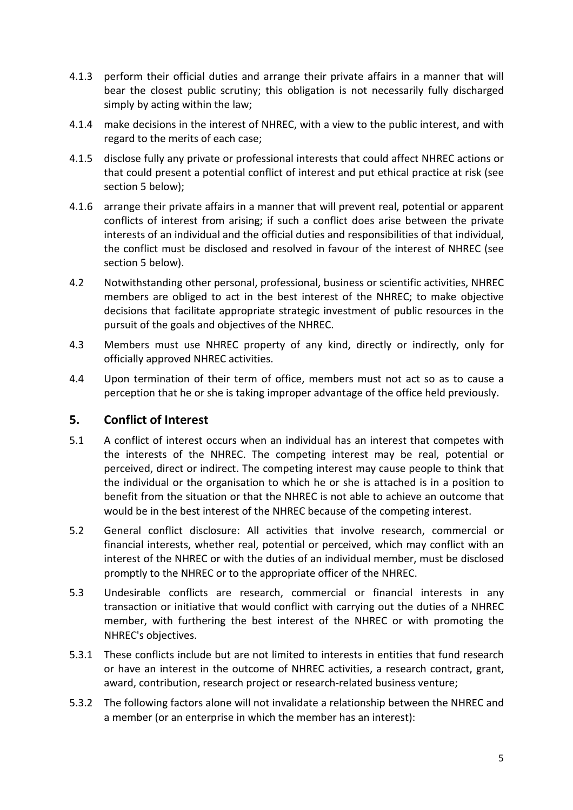- 4.1.3 perform their official duties and arrange their private affairs in a manner that will bear the closest public scrutiny; this obligation is not necessarily fully discharged simply by acting within the law;
- 4.1.4 make decisions in the interest of NHREC, with a view to the public interest, and with regard to the merits of each case;
- 4.1.5 disclose fully any private or professional interests that could affect NHREC actions or that could present a potential conflict of interest and put ethical practice at risk (see section 5 below);
- 4.1.6 arrange their private affairs in a manner that will prevent real, potential or apparent conflicts of interest from arising; if such a conflict does arise between the private interests of an individual and the official duties and responsibilities of that individual, the conflict must be disclosed and resolved in favour of the interest of NHREC (see section 5 below).
- 4.2 Notwithstanding other personal, professional, business or scientific activities, NHREC members are obliged to act in the best interest of the NHREC; to make objective decisions that facilitate appropriate strategic investment of public resources in the pursuit of the goals and objectives of the NHREC.
- 4.3 Members must use NHREC property of any kind, directly or indirectly, only for officially approved NHREC activities.
- 4.4 Upon termination of their term of office, members must not act so as to cause a perception that he or she is taking improper advantage of the office held previously.

### **5. Conflict of Interest**

- 5.1 A conflict of interest occurs when an individual has an interest that competes with the interests of the NHREC. The competing interest may be real, potential or perceived, direct or indirect. The competing interest may cause people to think that the individual or the organisation to which he or she is attached is in a position to benefit from the situation or that the NHREC is not able to achieve an outcome that would be in the best interest of the NHREC because of the competing interest.
- 5.2 General conflict disclosure: All activities that involve research, commercial or financial interests, whether real, potential or perceived, which may conflict with an interest of the NHREC or with the duties of an individual member, must be disclosed promptly to the NHREC or to the appropriate officer of the NHREC.
- 5.3 Undesirable conflicts are research, commercial or financial interests in any transaction or initiative that would conflict with carrying out the duties of a NHREC member, with furthering the best interest of the NHREC or with promoting the NHREC's objectives.
- 5.3.1 These conflicts include but are not limited to interests in entities that fund research or have an interest in the outcome of NHREC activities, a research contract, grant, award, contribution, research project or research-related business venture;
- 5.3.2 The following factors alone will not invalidate a relationship between the NHREC and a member (or an enterprise in which the member has an interest):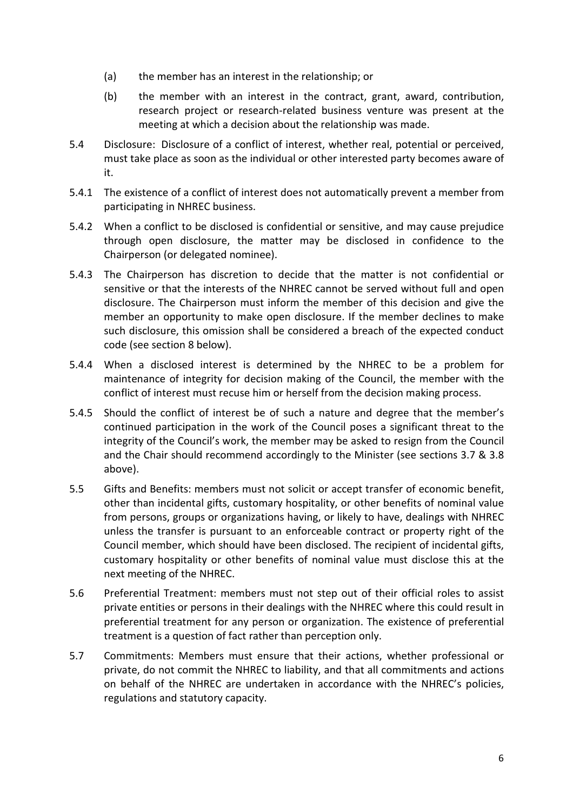- (a) the member has an interest in the relationship; or
- (b) the member with an interest in the contract, grant, award, contribution, research project or research-related business venture was present at the meeting at which a decision about the relationship was made.
- 5.4 Disclosure: Disclosure of a conflict of interest, whether real, potential or perceived, must take place as soon as the individual or other interested party becomes aware of it.
- 5.4.1 The existence of a conflict of interest does not automatically prevent a member from participating in NHREC business.
- 5.4.2 When a conflict to be disclosed is confidential or sensitive, and may cause prejudice through open disclosure, the matter may be disclosed in confidence to the Chairperson (or delegated nominee).
- 5.4.3 The Chairperson has discretion to decide that the matter is not confidential or sensitive or that the interests of the NHREC cannot be served without full and open disclosure. The Chairperson must inform the member of this decision and give the member an opportunity to make open disclosure. If the member declines to make such disclosure, this omission shall be considered a breach of the expected conduct code (see section 8 below).
- 5.4.4 When a disclosed interest is determined by the NHREC to be a problem for maintenance of integrity for decision making of the Council, the member with the conflict of interest must recuse him or herself from the decision making process.
- 5.4.5 Should the conflict of interest be of such a nature and degree that the member's continued participation in the work of the Council poses a significant threat to the integrity of the Council's work, the member may be asked to resign from the Council and the Chair should recommend accordingly to the Minister (see sections 3.7 & 3.8 above).
- 5.5 Gifts and Benefits: members must not solicit or accept transfer of economic benefit, other than incidental gifts, customary hospitality, or other benefits of nominal value from persons, groups or organizations having, or likely to have, dealings with NHREC unless the transfer is pursuant to an enforceable contract or property right of the Council member, which should have been disclosed. The recipient of incidental gifts, customary hospitality or other benefits of nominal value must disclose this at the next meeting of the NHREC.
- 5.6 Preferential Treatment: members must not step out of their official roles to assist private entities or persons in their dealings with the NHREC where this could result in preferential treatment for any person or organization. The existence of preferential treatment is a question of fact rather than perception only.
- 5.7 Commitments: Members must ensure that their actions, whether professional or private, do not commit the NHREC to liability, and that all commitments and actions on behalf of the NHREC are undertaken in accordance with the NHREC's policies, regulations and statutory capacity.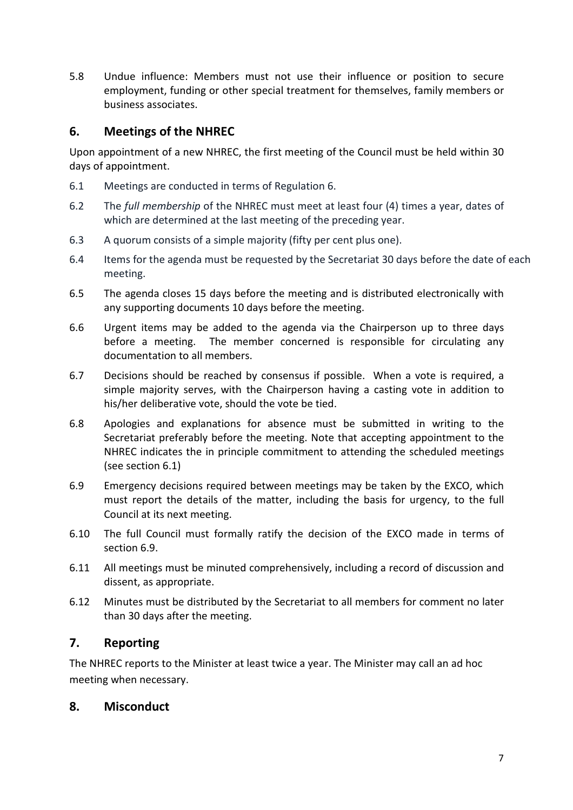5.8 Undue influence: Members must not use their influence or position to secure employment, funding or other special treatment for themselves, family members or business associates.

## **6. Meetings of the NHREC**

Upon appointment of a new NHREC, the first meeting of the Council must be held within 30 days of appointment.

- 6.1 Meetings are conducted in terms of Regulation 6.
- 6.2 The *full membership* of the NHREC must meet at least four (4) times a year, dates of which are determined at the last meeting of the preceding year.
- 6.3 A quorum consists of a simple majority (fifty per cent plus one).
- 6.4 Items for the agenda must be requested by the Secretariat 30 days before the date of each meeting.
- 6.5 The agenda closes 15 days before the meeting and is distributed electronically with any supporting documents 10 days before the meeting.
- 6.6 Urgent items may be added to the agenda via the Chairperson up to three days before a meeting. The member concerned is responsible for circulating any documentation to all members.
- 6.7 Decisions should be reached by consensus if possible. When a vote is required, a simple majority serves, with the Chairperson having a casting vote in addition to his/her deliberative vote, should the vote be tied.
- 6.8 Apologies and explanations for absence must be submitted in writing to the Secretariat preferably before the meeting. Note that accepting appointment to the NHREC indicates the in principle commitment to attending the scheduled meetings (see section 6.1)
- 6.9 Emergency decisions required between meetings may be taken by the EXCO, which must report the details of the matter, including the basis for urgency, to the full Council at its next meeting.
- 6.10 The full Council must formally ratify the decision of the EXCO made in terms of section 6.9.
- 6.11 All meetings must be minuted comprehensively, including a record of discussion and dissent, as appropriate.
- 6.12 Minutes must be distributed by the Secretariat to all members for comment no later than 30 days after the meeting.

## **7. Reporting**

The NHREC reports to the Minister at least twice a year. The Minister may call an ad hoc meeting when necessary.

### **8. Misconduct**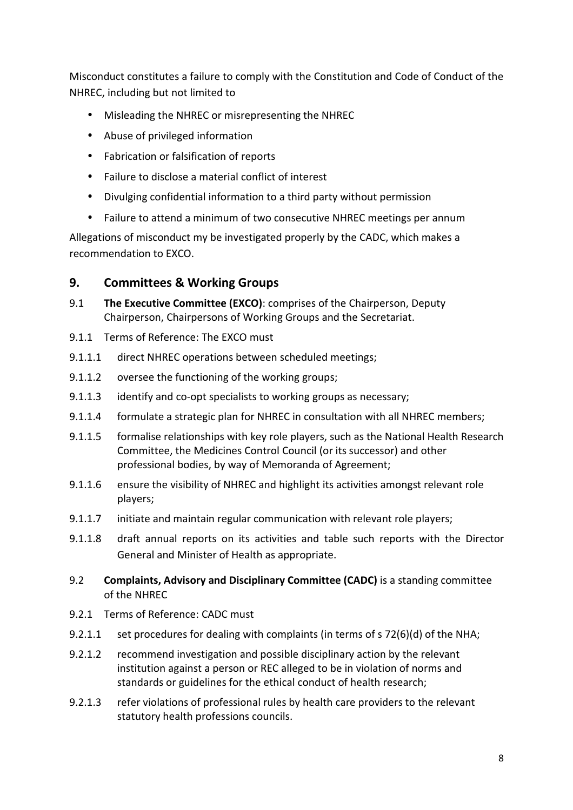Misconduct constitutes a failure to comply with the Constitution and Code of Conduct of the NHREC, including but not limited to

- Misleading the NHREC or misrepresenting the NHREC
- Abuse of privileged information
- Fabrication or falsification of reports
- Failure to disclose a material conflict of interest
- Divulging confidential information to a third party without permission
- Failure to attend a minimum of two consecutive NHREC meetings per annum

Allegations of misconduct my be investigated properly by the CADC, which makes a recommendation to EXCO.

## **9. Committees & Working Groups**

- 9.1 **The Executive Committee (EXCO)**: comprises of the Chairperson, Deputy Chairperson, Chairpersons of Working Groups and the Secretariat.
- 9.1.1 Terms of Reference: The EXCO must
- 9.1.1.1 direct NHREC operations between scheduled meetings;
- 9.1.1.2 oversee the functioning of the working groups;
- 9.1.1.3 identify and co-opt specialists to working groups as necessary;
- 9.1.1.4 formulate a strategic plan for NHREC in consultation with all NHREC members;
- 9.1.1.5 formalise relationships with key role players, such as the National Health Research Committee, the Medicines Control Council (or its successor) and other professional bodies, by way of Memoranda of Agreement;
- 9.1.1.6 ensure the visibility of NHREC and highlight its activities amongst relevant role players;
- 9.1.1.7 initiate and maintain regular communication with relevant role players;
- 9.1.1.8 draft annual reports on its activities and table such reports with the Director General and Minister of Health as appropriate.
- 9.2 **Complaints, Advisory and Disciplinary Committee (CADC)** is a standing committee of the NHREC
- 9.2.1 Terms of Reference: CADC must
- 9.2.1.1 set procedures for dealing with complaints (in terms of s 72(6)(d) of the NHA;
- 9.2.1.2 recommend investigation and possible disciplinary action by the relevant institution against a person or REC alleged to be in violation of norms and standards or guidelines for the ethical conduct of health research;
- 9.2.1.3 refer violations of professional rules by health care providers to the relevant statutory health professions councils.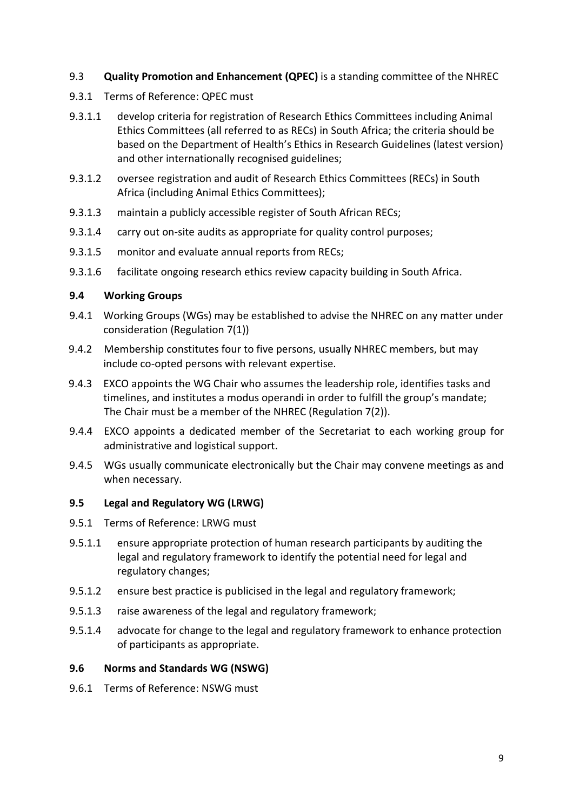#### 9.3 **Quality Promotion and Enhancement (QPEC)** is a standing committee of the NHREC

- 9.3.1 Terms of Reference: QPEC must
- 9.3.1.1 develop criteria for registration of Research Ethics Committees including Animal Ethics Committees (all referred to as RECs) in South Africa; the criteria should be based on the Department of Health's Ethics in Research Guidelines (latest version) and other internationally recognised guidelines;
- 9.3.1.2 oversee registration and audit of Research Ethics Committees (RECs) in South Africa (including Animal Ethics Committees);
- 9.3.1.3 maintain a publicly accessible register of South African RECs;
- 9.3.1.4 carry out on-site audits as appropriate for quality control purposes;
- 9.3.1.5 monitor and evaluate annual reports from RECs;
- 9.3.1.6 facilitate ongoing research ethics review capacity building in South Africa.

#### **9.4 Working Groups**

- 9.4.1 Working Groups (WGs) may be established to advise the NHREC on any matter under consideration (Regulation 7(1))
- 9.4.2 Membership constitutes four to five persons, usually NHREC members, but may include co-opted persons with relevant expertise.
- 9.4.3 EXCO appoints the WG Chair who assumes the leadership role, identifies tasks and timelines, and institutes a modus operandi in order to fulfill the group's mandate; The Chair must be a member of the NHREC (Regulation 7(2)).
- 9.4.4 EXCO appoints a dedicated member of the Secretariat to each working group for administrative and logistical support.
- 9.4.5 WGs usually communicate electronically but the Chair may convene meetings as and when necessary.

#### **9.5 Legal and Regulatory WG (LRWG)**

- 9.5.1 Terms of Reference: LRWG must
- 9.5.1.1 ensure appropriate protection of human research participants by auditing the legal and regulatory framework to identify the potential need for legal and regulatory changes;
- 9.5.1.2 ensure best practice is publicised in the legal and regulatory framework;
- 9.5.1.3 raise awareness of the legal and regulatory framework;
- 9.5.1.4 advocate for change to the legal and regulatory framework to enhance protection of participants as appropriate.

#### **9.6 Norms and Standards WG (NSWG)**

9.6.1 Terms of Reference: NSWG must